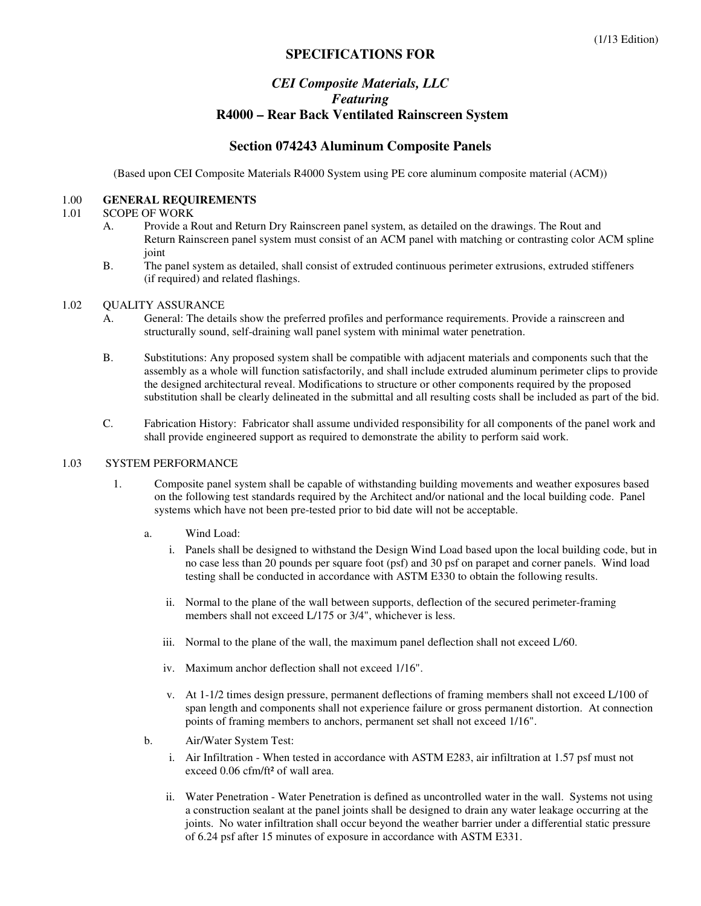# **SPECIFICATIONS FOR**

# *CEI Composite Materials, LLC Featuring*   **R4000 – Rear Back Ventilated Rainscreen System**

# **Section 074243 Aluminum Composite Panels**

(Based upon CEI Composite Materials R4000 System using PE core aluminum composite material (ACM))

#### 1.00 **GENERAL REQUIREMENTS**

#### 1.01 SCOPE OF WORK

- A. Provide a Rout and Return Dry Rainscreen panel system, as detailed on the drawings. The Rout and Return Rainscreen panel system must consist of an ACM panel with matching or contrasting color ACM spline joint
- B. The panel system as detailed, shall consist of extruded continuous perimeter extrusions, extruded stiffeners (if required) and related flashings.

#### 1.02 OUALITY ASSURANCE

- A. General: The details show the preferred profiles and performance requirements. Provide a rainscreen and structurally sound, self-draining wall panel system with minimal water penetration.
- B. Substitutions: Any proposed system shall be compatible with adjacent materials and components such that the assembly as a whole will function satisfactorily, and shall include extruded aluminum perimeter clips to provide the designed architectural reveal. Modifications to structure or other components required by the proposed substitution shall be clearly delineated in the submittal and all resulting costs shall be included as part of the bid.
- C. Fabrication History: Fabricator shall assume undivided responsibility for all components of the panel work and shall provide engineered support as required to demonstrate the ability to perform said work.

#### 1.03 SYSTEM PERFORMANCE

- 1. Composite panel system shall be capable of withstanding building movements and weather exposures based on the following test standards required by the Architect and/or national and the local building code. Panel systems which have not been pre-tested prior to bid date will not be acceptable.
	- a. Wind Load:
		- i. Panels shall be designed to withstand the Design Wind Load based upon the local building code, but in no case less than 20 pounds per square foot (psf) and 30 psf on parapet and corner panels. Wind load testing shall be conducted in accordance with ASTM E330 to obtain the following results.
		- ii. Normal to the plane of the wall between supports, deflection of the secured perimeter-framing members shall not exceed L/175 or 3/4", whichever is less.
		- iii. Normal to the plane of the wall, the maximum panel deflection shall not exceed L/60.
		- iv. Maximum anchor deflection shall not exceed 1/16".
		- v. At 1-1/2 times design pressure, permanent deflections of framing members shall not exceed L/100 of span length and components shall not experience failure or gross permanent distortion. At connection points of framing members to anchors, permanent set shall not exceed 1/16".
	- b. Air/Water System Test:
		- i. Air Infiltration When tested in accordance with ASTM E283, air infiltration at 1.57 psf must not exceed 0.06 cfm/ft<sup>2</sup> of wall area.
		- ii. Water Penetration Water Penetration is defined as uncontrolled water in the wall. Systems not using a construction sealant at the panel joints shall be designed to drain any water leakage occurring at the joints. No water infiltration shall occur beyond the weather barrier under a differential static pressure of 6.24 psf after 15 minutes of exposure in accordance with ASTM E331.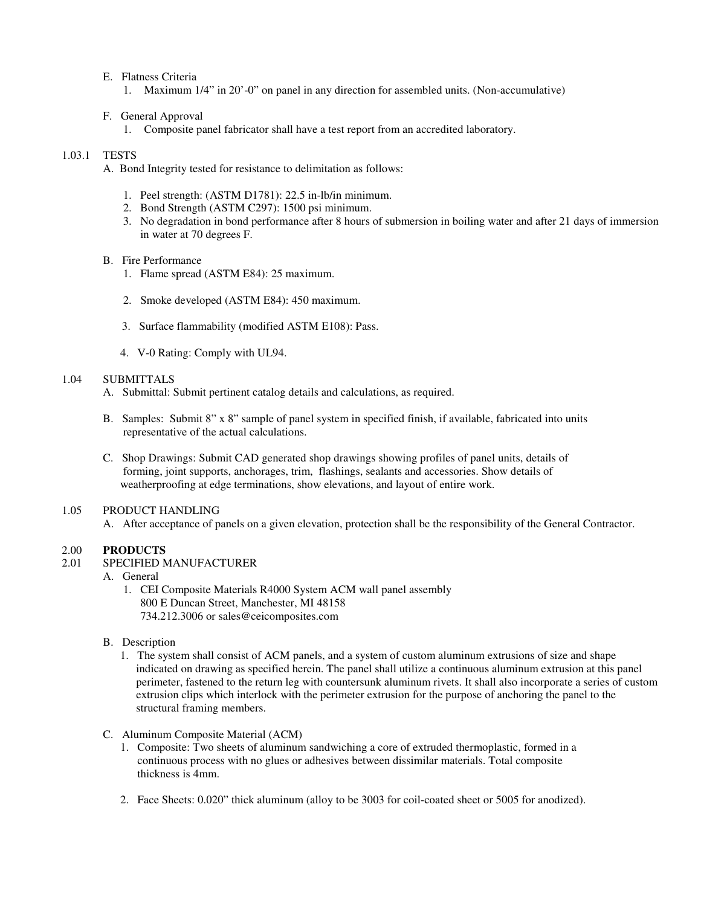- E. Flatness Criteria
	- 1. Maximum 1/4" in 20'-0" on panel in any direction for assembled units. (Non-accumulative)

#### F. General Approval

1. Composite panel fabricator shall have a test report from an accredited laboratory.

#### 1.03.1 TESTS

- A. Bond Integrity tested for resistance to delimitation as follows:
	- 1. Peel strength: (ASTM D1781): 22.5 in-lb/in minimum.
	- 2. Bond Strength (ASTM C297): 1500 psi minimum.
	- 3. No degradation in bond performance after 8 hours of submersion in boiling water and after 21 days of immersion in water at 70 degrees F.

#### B. Fire Performance

- 1. Flame spread (ASTM E84): 25 maximum.
- 2. Smoke developed (ASTM E84): 450 maximum.
- 3. Surface flammability (modified ASTM E108): Pass.
- 4. V-0 Rating: Comply with UL94.

## 1.04 SUBMITTALS

- A. Submittal: Submit pertinent catalog details and calculations, as required.
- B. Samples: Submit 8" x 8" sample of panel system in specified finish, if available, fabricated into units representative of the actual calculations.
- C. Shop Drawings: Submit CAD generated shop drawings showing profiles of panel units, details of forming, joint supports, anchorages, trim, flashings, sealants and accessories. Show details of weatherproofing at edge terminations, show elevations, and layout of entire work.

#### 1.05 PRODUCT HANDLING

A. After acceptance of panels on a given elevation, protection shall be the responsibility of the General Contractor.

## 2.00 **PRODUCTS**

- 2.01 SPECIFIED MANUFACTURER
	- A. General
		- 1. CEI Composite Materials R4000 System ACM wall panel assembly 800 E Duncan Street, Manchester, MI 48158 734.212.3006 or sales@ceicomposites.com
	- B. Description
		- 1. The system shall consist of ACM panels, and a system of custom aluminum extrusions of size and shape indicated on drawing as specified herein. The panel shall utilize a continuous aluminum extrusion at this panel perimeter, fastened to the return leg with countersunk aluminum rivets. It shall also incorporate a series of custom extrusion clips which interlock with the perimeter extrusion for the purpose of anchoring the panel to the structural framing members.
	- C. Aluminum Composite Material (ACM)
		- 1. Composite: Two sheets of aluminum sandwiching a core of extruded thermoplastic, formed in a continuous process with no glues or adhesives between dissimilar materials. Total composite thickness is 4mm.
		- 2. Face Sheets: 0.020" thick aluminum (alloy to be 3003 for coil-coated sheet or 5005 for anodized).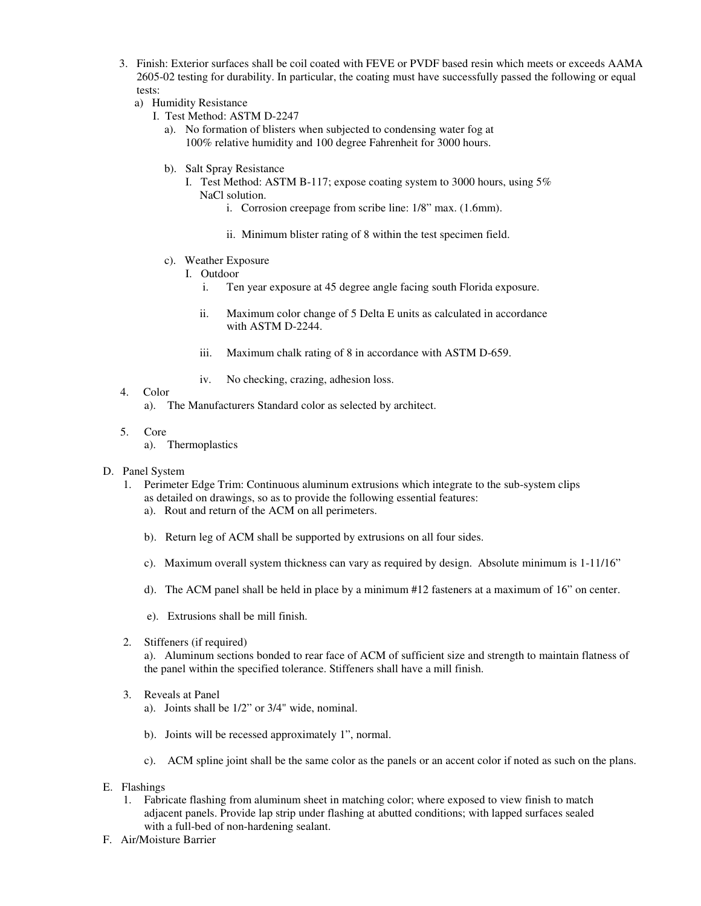- 3. Finish: Exterior surfaces shall be coil coated with FEVE or PVDF based resin which meets or exceeds AAMA 2605-02 testing for durability. In particular, the coating must have successfully passed the following or equal tests:
	- a) Humidity Resistance
		- I. Test Method: ASTM D-2247
			- a). No formation of blisters when subjected to condensing water fog at 100% relative humidity and 100 degree Fahrenheit for 3000 hours.
			- b). Salt Spray Resistance
				- I. Test Method: ASTM B-117; expose coating system to 3000 hours, using 5% NaCl solution.
					- i. Corrosion creepage from scribe line: 1/8" max. (1.6mm).
					- ii. Minimum blister rating of 8 within the test specimen field.
			- c). Weather Exposure
				- I. Outdoor
					- i. Ten year exposure at 45 degree angle facing south Florida exposure.
					- ii. Maximum color change of 5 Delta E units as calculated in accordance with ASTM D-2244.
					- iii. Maximum chalk rating of 8 in accordance with ASTM D-659.
					- iv. No checking, crazing, adhesion loss.
- 4. Color
	- a). The Manufacturers Standard color as selected by architect.
- 5. Core
	- a). Thermoplastics
- D. Panel System
	- 1. Perimeter Edge Trim: Continuous aluminum extrusions which integrate to the sub-system clips as detailed on drawings, so as to provide the following essential features:
		- a). Rout and return of the ACM on all perimeters.
		- b). Return leg of ACM shall be supported by extrusions on all four sides.
		- c). Maximum overall system thickness can vary as required by design. Absolute minimum is 1-11/16"
		- d). The ACM panel shall be held in place by a minimum #12 fasteners at a maximum of 16" on center.
		- e). Extrusions shall be mill finish.
	- 2. Stiffeners (if required)

 a). Aluminum sections bonded to rear face of ACM of sufficient size and strength to maintain flatness of the panel within the specified tolerance. Stiffeners shall have a mill finish.

- 3. Reveals at Panel
	- a). Joints shall be 1/2" or 3/4" wide, nominal.
	- b). Joints will be recessed approximately 1", normal.
	- c). ACM spline joint shall be the same color as the panels or an accent color if noted as such on the plans.
- E. Flashings
	- 1. Fabricate flashing from aluminum sheet in matching color; where exposed to view finish to match adjacent panels. Provide lap strip under flashing at abutted conditions; with lapped surfaces sealed with a full-bed of non-hardening sealant.
- F. Air/Moisture Barrier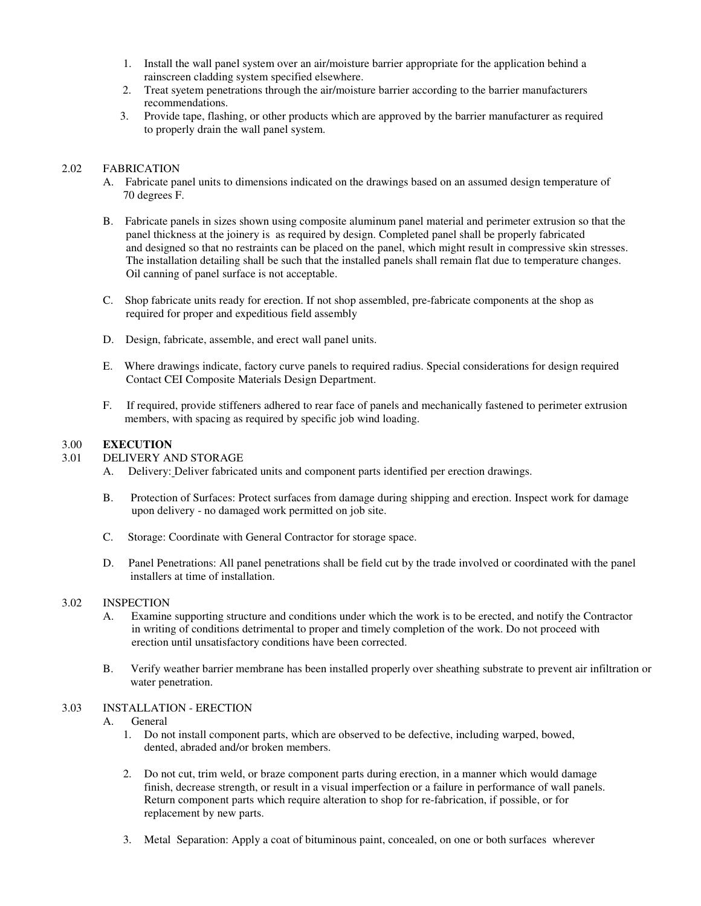- 1. Install the wall panel system over an air/moisture barrier appropriate for the application behind a rainscreen cladding system specified elsewhere.
- 2. Treat syetem penetrations through the air/moisture barrier according to the barrier manufacturers recommendations.
- 3. Provide tape, flashing, or other products which are approved by the barrier manufacturer as required to properly drain the wall panel system.

## 2.02 FABRICATION

- A. Fabricate panel units to dimensions indicated on the drawings based on an assumed design temperature of 70 degrees F.
- B. Fabricate panels in sizes shown using composite aluminum panel material and perimeter extrusion so that the panel thickness at the joinery is as required by design. Completed panel shall be properly fabricated and designed so that no restraints can be placed on the panel, which might result in compressive skin stresses. The installation detailing shall be such that the installed panels shall remain flat due to temperature changes. Oil canning of panel surface is not acceptable.
- C. Shop fabricate units ready for erection. If not shop assembled, pre-fabricate components at the shop as required for proper and expeditious field assembly
- D. Design, fabricate, assemble, and erect wall panel units.
- E. Where drawings indicate, factory curve panels to required radius. Special considerations for design required Contact CEI Composite Materials Design Department.
- F. If required, provide stiffeners adhered to rear face of panels and mechanically fastened to perimeter extrusion members, with spacing as required by specific job wind loading.

## 3.00 **EXECUTION**

# 3.01 DELIVERY AND STORAGE

- A. Delivery: Deliver fabricated units and component parts identified per erection drawings.
- B. Protection of Surfaces: Protect surfaces from damage during shipping and erection. Inspect work for damage upon delivery - no damaged work permitted on job site.
- C. Storage: Coordinate with General Contractor for storage space.
- D. Panel Penetrations: All panel penetrations shall be field cut by the trade involved or coordinated with the panel installers at time of installation.

## 3.02 INSPECTION

- A. Examine supporting structure and conditions under which the work is to be erected, and notify the Contractor in writing of conditions detrimental to proper and timely completion of the work. Do not proceed with erection until unsatisfactory conditions have been corrected.
- B. Verify weather barrier membrane has been installed properly over sheathing substrate to prevent air infiltration or water penetration.

## 3.03 INSTALLATION - ERECTION

## A. General

- 1. Do not install component parts, which are observed to be defective, including warped, bowed, dented, abraded and/or broken members.
- 2. Do not cut, trim weld, or braze component parts during erection, in a manner which would damage finish, decrease strength, or result in a visual imperfection or a failure in performance of wall panels. Return component parts which require alteration to shop for re-fabrication, if possible, or for replacement by new parts.
- 3. Metal Separation: Apply a coat of bituminous paint, concealed, on one or both surfaces wherever